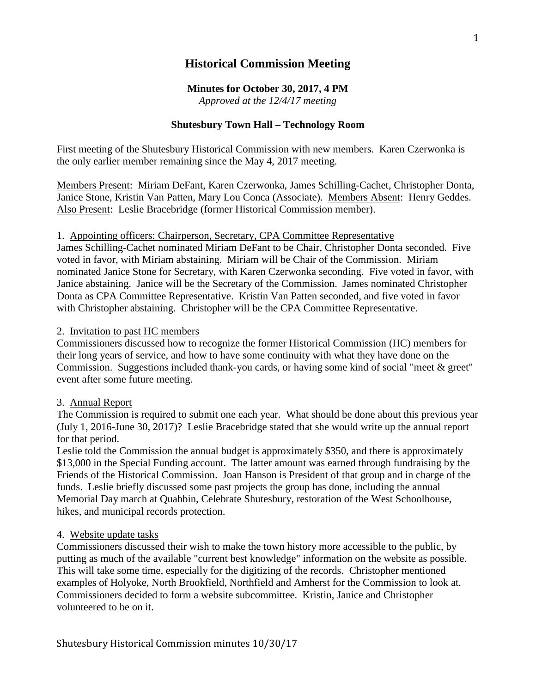# **Historical Commission Meeting**

## **Minutes for October 30, 2017, 4 PM**

*Approved at the 12/4/17 meeting*

# **Shutesbury Town Hall – Technology Room**

First meeting of the Shutesbury Historical Commission with new members. Karen Czerwonka is the only earlier member remaining since the May 4, 2017 meeting.

Members Present: Miriam DeFant, Karen Czerwonka, James Schilling-Cachet, Christopher Donta, Janice Stone, Kristin Van Patten, Mary Lou Conca (Associate). Members Absent: Henry Geddes. Also Present: Leslie Bracebridge (former Historical Commission member).

## 1. Appointing officers: Chairperson, Secretary, CPA Committee Representative

James Schilling-Cachet nominated Miriam DeFant to be Chair, Christopher Donta seconded. Five voted in favor, with Miriam abstaining. Miriam will be Chair of the Commission. Miriam nominated Janice Stone for Secretary, with Karen Czerwonka seconding. Five voted in favor, with Janice abstaining. Janice will be the Secretary of the Commission. James nominated Christopher Donta as CPA Committee Representative. Kristin Van Patten seconded, and five voted in favor with Christopher abstaining. Christopher will be the CPA Committee Representative.

## 2. Invitation to past HC members

Commissioners discussed how to recognize the former Historical Commission (HC) members for their long years of service, and how to have some continuity with what they have done on the Commission. Suggestions included thank-you cards, or having some kind of social "meet & greet" event after some future meeting.

## 3. Annual Report

The Commission is required to submit one each year. What should be done about this previous year (July 1, 2016-June 30, 2017)? Leslie Bracebridge stated that she would write up the annual report for that period.

Leslie told the Commission the annual budget is approximately \$350, and there is approximately \$13,000 in the Special Funding account. The latter amount was earned through fundraising by the Friends of the Historical Commission. Joan Hanson is President of that group and in charge of the funds. Leslie briefly discussed some past projects the group has done, including the annual Memorial Day march at Quabbin, Celebrate Shutesbury, restoration of the West Schoolhouse, hikes, and municipal records protection.

## 4. Website update tasks

Commissioners discussed their wish to make the town history more accessible to the public, by putting as much of the available "current best knowledge" information on the website as possible. This will take some time, especially for the digitizing of the records. Christopher mentioned examples of Holyoke, North Brookfield, Northfield and Amherst for the Commission to look at. Commissioners decided to form a website subcommittee. Kristin, Janice and Christopher volunteered to be on it.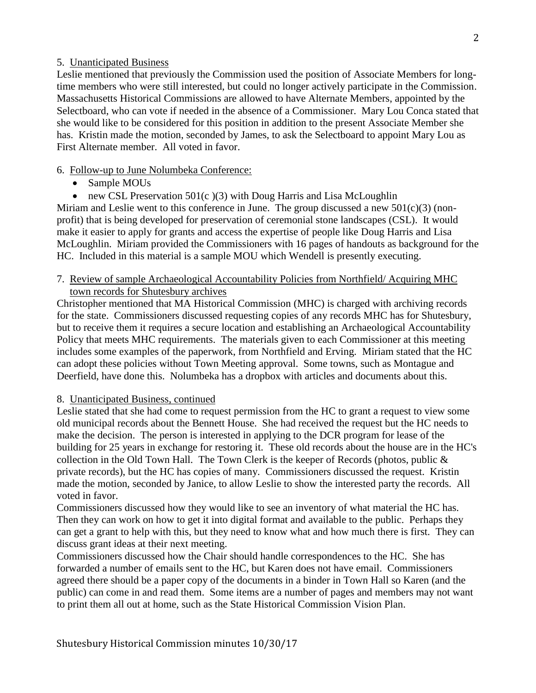## 5. Unanticipated Business

Leslie mentioned that previously the Commission used the position of Associate Members for longtime members who were still interested, but could no longer actively participate in the Commission. Massachusetts Historical Commissions are allowed to have Alternate Members, appointed by the Selectboard, who can vote if needed in the absence of a Commissioner. Mary Lou Conca stated that she would like to be considered for this position in addition to the present Associate Member she has. Kristin made the motion, seconded by James, to ask the Selectboard to appoint Mary Lou as First Alternate member. All voted in favor.

## 6. Follow-up to June Nolumbeka Conference:

- Sample MOUs
- new CSL Preservation  $501(c)(3)$  with Doug Harris and Lisa McLoughlin

Miriam and Leslie went to this conference in June. The group discussed a new  $501(c)(3)$  (nonprofit) that is being developed for preservation of ceremonial stone landscapes (CSL). It would make it easier to apply for grants and access the expertise of people like Doug Harris and Lisa McLoughlin. Miriam provided the Commissioners with 16 pages of handouts as background for the HC. Included in this material is a sample MOU which Wendell is presently executing.

## 7. Review of sample Archaeological Accountability Policies from Northfield/ Acquiring MHC town records for Shutesbury archives

Christopher mentioned that MA Historical Commission (MHC) is charged with archiving records for the state. Commissioners discussed requesting copies of any records MHC has for Shutesbury, but to receive them it requires a secure location and establishing an Archaeological Accountability Policy that meets MHC requirements. The materials given to each Commissioner at this meeting includes some examples of the paperwork, from Northfield and Erving. Miriam stated that the HC can adopt these policies without Town Meeting approval. Some towns, such as Montague and Deerfield, have done this. Nolumbeka has a dropbox with articles and documents about this.

## 8. Unanticipated Business, continued

Leslie stated that she had come to request permission from the HC to grant a request to view some old municipal records about the Bennett House. She had received the request but the HC needs to make the decision. The person is interested in applying to the DCR program for lease of the building for 25 years in exchange for restoring it. These old records about the house are in the HC's collection in the Old Town Hall. The Town Clerk is the keeper of Records (photos, public & private records), but the HC has copies of many. Commissioners discussed the request. Kristin made the motion, seconded by Janice, to allow Leslie to show the interested party the records. All voted in favor.

Commissioners discussed how they would like to see an inventory of what material the HC has. Then they can work on how to get it into digital format and available to the public. Perhaps they can get a grant to help with this, but they need to know what and how much there is first. They can discuss grant ideas at their next meeting.

Commissioners discussed how the Chair should handle correspondences to the HC. She has forwarded a number of emails sent to the HC, but Karen does not have email. Commissioners agreed there should be a paper copy of the documents in a binder in Town Hall so Karen (and the public) can come in and read them. Some items are a number of pages and members may not want to print them all out at home, such as the State Historical Commission Vision Plan.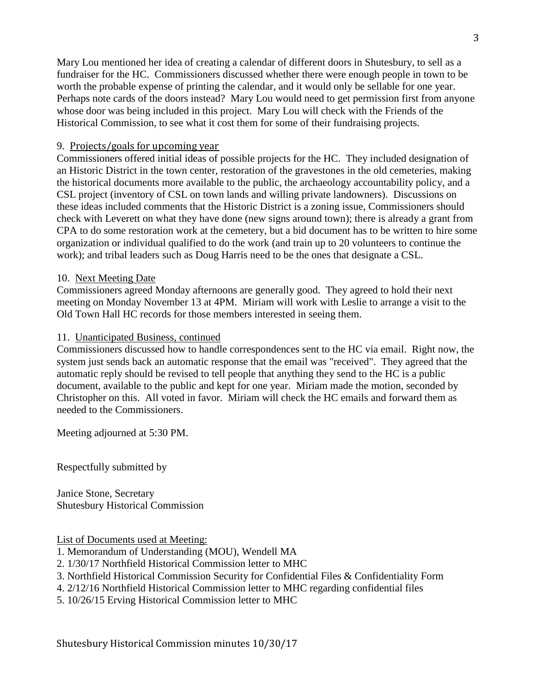Mary Lou mentioned her idea of creating a calendar of different doors in Shutesbury, to sell as a fundraiser for the HC. Commissioners discussed whether there were enough people in town to be worth the probable expense of printing the calendar, and it would only be sellable for one year. Perhaps note cards of the doors instead? Mary Lou would need to get permission first from anyone whose door was being included in this project. Mary Lou will check with the Friends of the Historical Commission, to see what it cost them for some of their fundraising projects.

## 9. Projects/goals for upcoming year

Commissioners offered initial ideas of possible projects for the HC. They included designation of an Historic District in the town center, restoration of the gravestones in the old cemeteries, making the historical documents more available to the public, the archaeology accountability policy, and a CSL project (inventory of CSL on town lands and willing private landowners). Discussions on these ideas included comments that the Historic District is a zoning issue, Commissioners should check with Leverett on what they have done (new signs around town); there is already a grant from CPA to do some restoration work at the cemetery, but a bid document has to be written to hire some organization or individual qualified to do the work (and train up to 20 volunteers to continue the work); and tribal leaders such as Doug Harris need to be the ones that designate a CSL.

## 10. Next Meeting Date

Commissioners agreed Monday afternoons are generally good. They agreed to hold their next meeting on Monday November 13 at 4PM. Miriam will work with Leslie to arrange a visit to the Old Town Hall HC records for those members interested in seeing them.

## 11. Unanticipated Business, continued

Commissioners discussed how to handle correspondences sent to the HC via email. Right now, the system just sends back an automatic response that the email was "received". They agreed that the automatic reply should be revised to tell people that anything they send to the HC is a public document, available to the public and kept for one year. Miriam made the motion, seconded by Christopher on this. All voted in favor. Miriam will check the HC emails and forward them as needed to the Commissioners.

Meeting adjourned at 5:30 PM.

Respectfully submitted by

Janice Stone, Secretary Shutesbury Historical Commission

List of Documents used at Meeting:

- 1. Memorandum of Understanding (MOU), Wendell MA
- 2. 1/30/17 Northfield Historical Commission letter to MHC
- 3. Northfield Historical Commission Security for Confidential Files & Confidentiality Form
- 4. 2/12/16 Northfield Historical Commission letter to MHC regarding confidential files
- 5. 10/26/15 Erving Historical Commission letter to MHC